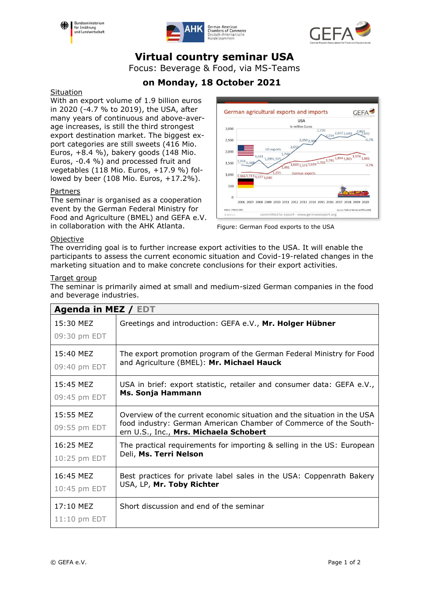





# **Virtual country seminar USA**

Focus: Beverage & Food, via MS-Teams

## **on Monday, 18 October 2021**

#### **Situation**

With an export volume of 1.9 billion euros in 2020 (-4.7 % to 2019), the USA, after many years of continuous and above-average increases, is still the third strongest export destination market. The biggest export categories are still sweets (416 Mio. Euros, +8.4 %), bakery goods (148 Mio. Euros, -0.4 %) and processed fruit and vegetables (118 Mio. Euros, +17.9 %) followed by beer (108 Mio. Euros, +17.2%).

#### Partners

The seminar is organised as a cooperation event by the German Federal Ministry for Food and Agriculture (BMEL) and GEFA e.V. in collaboration with the AHK Atlanta.



Figure: German Food exports to the USA

#### **Objective**

The overriding goal is to further increase export activities to the USA. It will enable the participants to assess the current economic situation and Covid-19-related changes in the marketing situation and to make concrete conclusions for their export activities.

#### Target group

The seminar is primarily aimed at small and medium-sized German companies in the food and beverage industries.

| Agenda in MEZ / EDT         |                                                                                                                                                                                       |  |
|-----------------------------|---------------------------------------------------------------------------------------------------------------------------------------------------------------------------------------|--|
| 15:30 MEZ<br>09:30 pm EDT   | Greetings and introduction: GEFA e.V., Mr. Holger Hübner                                                                                                                              |  |
| 15:40 MEZ                   | The export promotion program of the German Federal Ministry for Food                                                                                                                  |  |
| 09:40 pm EDT                | and Agriculture (BMEL): Mr. Michael Hauck                                                                                                                                             |  |
| 15:45 MEZ                   | USA in brief: export statistic, retailer and consumer data: GEFA e.V.,                                                                                                                |  |
| 09:45 pm EDT                | Ms. Sonja Hammann                                                                                                                                                                     |  |
| 15:55 MEZ<br>09:55 pm EDT   | Overview of the current economic situation and the situation in the USA<br>food industry: German American Chamber of Commerce of the South-<br>ern U.S., Inc., Mrs. Michaela Schobert |  |
| 16:25 MEZ                   | The practical requirements for importing & selling in the US: European                                                                                                                |  |
| 10:25 pm EDT                | Deli, Ms. Terri Nelson                                                                                                                                                                |  |
| 16:45 MEZ                   | Best practices for private label sales in the USA: Coppenrath Bakery                                                                                                                  |  |
| 10:45 pm EDT                | USA, LP, Mr. Toby Richter                                                                                                                                                             |  |
| 17:10 MEZ<br>$11:10$ pm EDT | Short discussion and end of the seminar                                                                                                                                               |  |